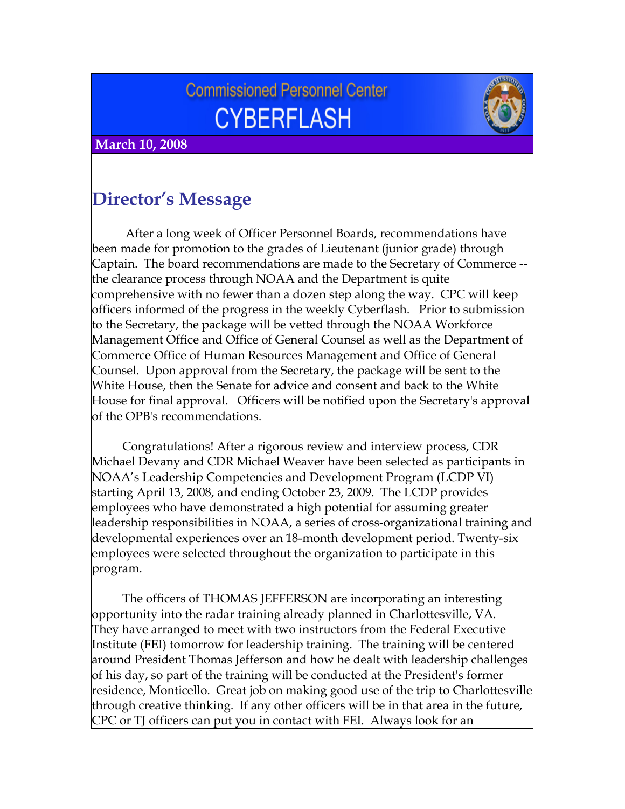# **Commissioned Personnel Center CYBERFLASH**



 **March 10, 2008**

## **Director's Message**

 After a long week of Officer Personnel Boards, recommendations have been made for promotion to the grades of Lieutenant (junior grade) through Captain. The board recommendations are made to the Secretary of Commerce - the clearance process through NOAA and the Department is quite comprehensive with no fewer than a dozen step along the way. CPC will keep officers informed of the progress in the weekly Cyberflash. Prior to submission to the Secretary, the package will be vetted through the NOAA Workforce Management Office and Office of General Counsel as well as the Department of Commerce Office of Human Resources Management and Office of General Counsel. Upon approval from the Secretary, the package will be sent to the White House, then the Senate for advice and consent and back to the White House for final approval. Officers will be notified upon the Secretary's approval of the OPB's recommendations.

 Congratulations! After a rigorous review and interview process, CDR Michael Devany and CDR Michael Weaver have been selected as participants in NOAA's Leadership Competencies and Development Program (LCDP VI) starting April 13, 2008, and ending October 23, 2009. The LCDP provides employees who have demonstrated a high potential for assuming greater leadership responsibilities in NOAA, a series of cross-organizational training and developmental experiences over an 18-month development period. Twenty-six employees were selected throughout the organization to participate in this program.

 The officers of THOMAS JEFFERSON are incorporating an interesting opportunity into the radar training already planned in Charlottesville, VA. They have arranged to meet with two instructors from the Federal Executive Institute (FEI) tomorrow for leadership training. The training will be centered around President Thomas Jefferson and how he dealt with leadership challenges of his day, so part of the training will be conducted at the President's former residence, Monticello. Great job on making good use of the trip to Charlottesville through creative thinking. If any other officers will be in that area in the future, CPC or TJ officers can put you in contact with FEI. Always look for an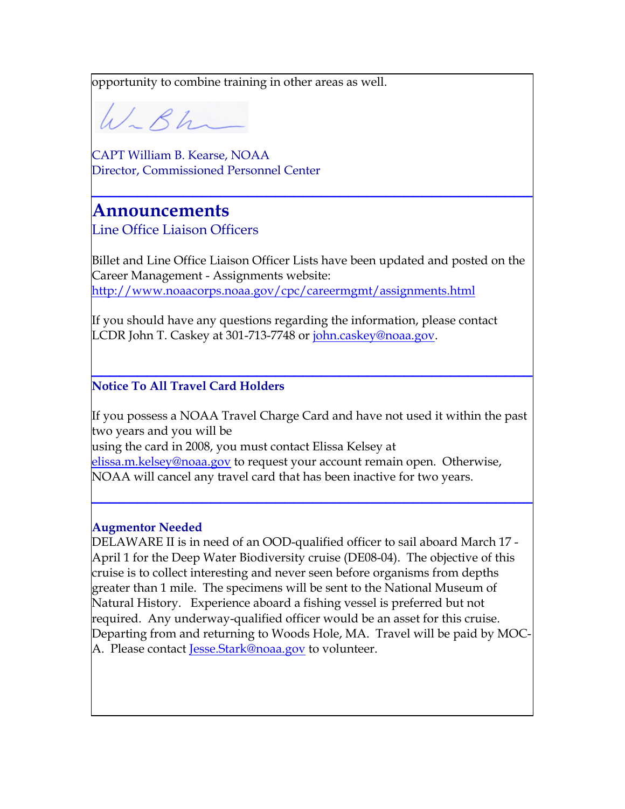opportunity to combine training in other areas as well.

W-Bh

CAPT William B. Kearse, NOAA Director, Commissioned Personnel Center

## **Announcements**

Line Office Liaison Officers

Billet and Line Office Liaison Officer Lists have been updated and posted on the Career Management - Assignments website: <http://www.noaacorps.noaa.gov/cpc/careermgmt/assignments.html>

**\_\_\_\_\_\_\_\_\_\_\_\_\_\_\_\_\_\_\_\_\_\_\_\_\_\_\_\_\_\_\_\_\_\_\_\_\_\_\_\_\_\_\_\_\_\_\_\_**

If you should have any questions regarding the information, please contact LCDR John T. Caskey at 301-713-7748 or [john.caskey@noaa.gov](mailto:john.caskey@noaa.gov).

### **\_\_\_\_\_\_\_\_\_\_\_\_\_\_\_\_\_\_\_\_\_\_\_\_\_\_\_\_\_\_\_\_\_\_\_\_\_\_\_\_\_\_\_\_\_\_\_\_ Notice To All Travel Card Holders**

If you possess a NOAA Travel Charge Card and have not used it within the past two years and you will be using the card in 2008, you must contact Elissa Kelsey at [elissa.m.kelsey@noaa.gov](mailto:elissa.m.kelsey@noaa.gov) to request your account remain open. Otherwise,

**\_\_\_\_\_\_\_\_\_\_\_\_\_\_\_\_\_\_\_\_\_\_\_\_\_\_\_\_\_\_\_\_\_\_\_\_\_\_\_\_\_\_\_\_\_\_\_\_**

NOAA will cancel any travel card that has been inactive for two years.

#### **Augmentor Needed**

DELAWARE II is in need of an OOD-qualified officer to sail aboard March 17 - April 1 for the Deep Water Biodiversity cruise (DE08-04). The objective of this cruise is to collect interesting and never seen before organisms from depths greater than 1 mile. The specimens will be sent to the National Museum of Natural History. Experience aboard a fishing vessel is preferred but not required. Any underway-qualified officer would be an asset for this cruise. Departing from and returning to Woods Hole, MA. Travel will be paid by MOC-A. Please contact [Jesse.Stark@noaa.gov](mailto:Jesse.Stark@noaa.gov) to volunteer.